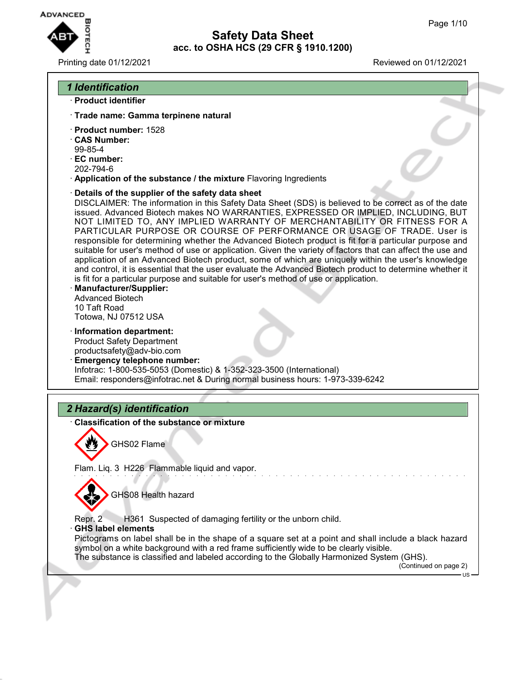**ADVANCED** 

# **Safety Data Sheet acc. to OSHA HCS (29 CFR § 1910.1200)**

## Printing date 01/12/2021 Reviewed on 01/12/2021

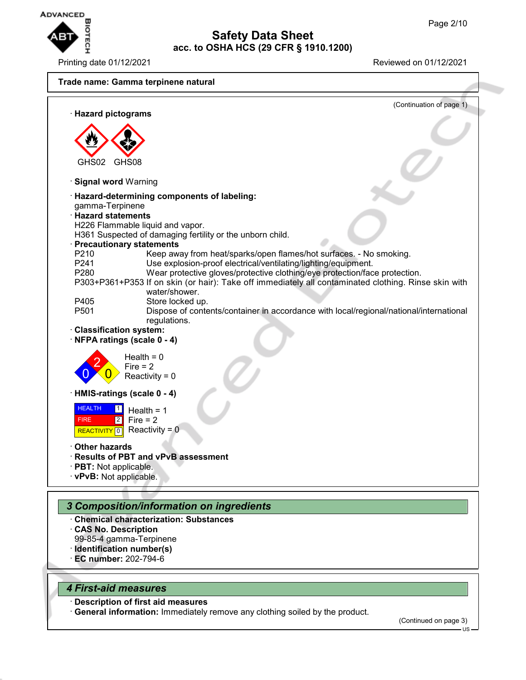

Printing date 01/12/2021 Reviewed on 01/12/2021



- · **CAS No. Description**
- 99-85-4 gamma-Terpinene
- · **Identification number(s)**
- · **EC number:** 202-794-6

## *4 First-aid measures*

· **Description of first aid measures**

· **General information:** Immediately remove any clothing soiled by the product.

(Continued on page 3)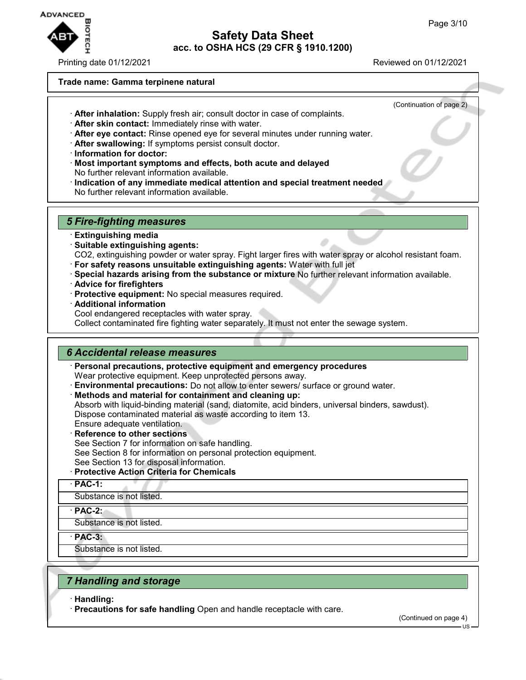

Printing date 01/12/2021 Reviewed on 01/12/2021

#### **Trade name: Gamma terpinene natural**

- (Continuation of page 2)
- · **After inhalation:** Supply fresh air; consult doctor in case of complaints. · **After skin contact:** Immediately rinse with water.
- · **After eye contact:** Rinse opened eye for several minutes under running water.
- · **After swallowing:** If symptoms persist consult doctor.
- · **Information for doctor:**
- · **Most important symptoms and effects, both acute and delayed** No further relevant information available.
- · **Indication of any immediate medical attention and special treatment needed** No further relevant information available.

## *5 Fire-fighting measures*

- · **Extinguishing media**
- · **Suitable extinguishing agents:**
- CO2, extinguishing powder or water spray. Fight larger fires with water spray or alcohol resistant foam.
- · **For safety reasons unsuitable extinguishing agents:** Water with full jet
- · **Special hazards arising from the substance or mixture** No further relevant information available.
- · **Advice for firefighters**
- · **Protective equipment:** No special measures required.
- · **Additional information**
- Cool endangered receptacles with water spray.

Collect contaminated fire fighting water separately. It must not enter the sewage system.

## *6 Accidental release measures*

- · **Personal precautions, protective equipment and emergency procedures**
- Wear protective equipment. Keep unprotected persons away.
- · **Environmental precautions:** Do not allow to enter sewers/ surface or ground water.
- · **Methods and material for containment and cleaning up:**

Absorb with liquid-binding material (sand, diatomite, acid binders, universal binders, sawdust). Dispose contaminated material as waste according to item 13.

- Ensure adequate ventilation. · **Reference to other sections**
- See Section 7 for information on safe handling.
- See Section 8 for information on personal protection equipment.
- See Section 13 for disposal information.

## · **Protective Action Criteria for Chemicals**

· **PAC-1:**

Substance is not listed.

- · **PAC-2:**
- Substance is not listed.

· **PAC-3:**

Substance is not listed.

## *7 Handling and storage*

· **Handling:**

· **Precautions for safe handling** Open and handle receptacle with care.

(Continued on page 4)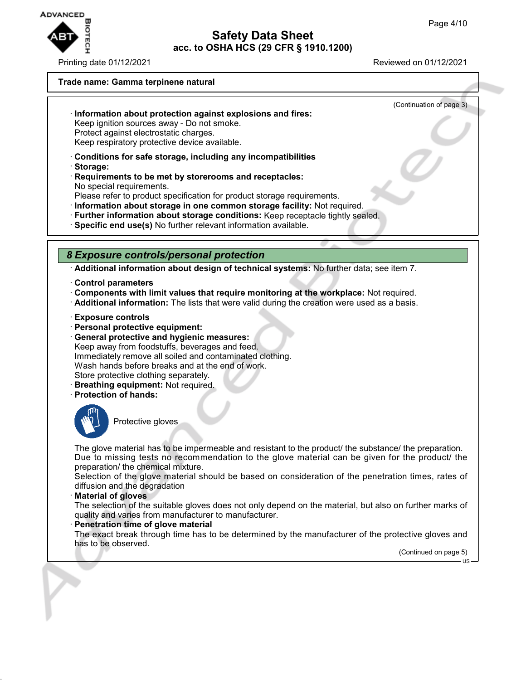

Printing date 01/12/2021 Reviewed on 01/12/2021

(Continuation of page 3)

#### **Trade name: Gamma terpinene natural**

- · **Information about protection against explosions and fires:** Keep ignition sources away - Do not smoke. Protect against electrostatic charges. Keep respiratory protective device available.
- · **Conditions for safe storage, including any incompatibilities**
- · **Storage:**
- · **Requirements to be met by storerooms and receptacles:** No special requirements.
- Please refer to product specification for product storage requirements.
- · **Information about storage in one common storage facility:** Not required.
- · **Further information about storage conditions:** Keep receptacle tightly sealed.
- · **Specific end use(s)** No further relevant information available.

## *8 Exposure controls/personal protection*

· **Additional information about design of technical systems:** No further data; see item 7.

- · **Control parameters**
- · **Components with limit values that require monitoring at the workplace:** Not required.
- · **Additional information:** The lists that were valid during the creation were used as a basis.
- · **Exposure controls**
- · **Personal protective equipment:**
- · **General protective and hygienic measures:** Keep away from foodstuffs, beverages and feed. Immediately remove all soiled and contaminated clothing. Wash hands before breaks and at the end of work. Store protective clothing separately.
- · **Breathing equipment:** Not required.
- · **Protection of hands:**



# Protective gloves

The glove material has to be impermeable and resistant to the product/ the substance/ the preparation. Due to missing tests no recommendation to the glove material can be given for the product/ the preparation/ the chemical mixture.

Selection of the glove material should be based on consideration of the penetration times, rates of diffusion and the degradation

#### · **Material of gloves**

The selection of the suitable gloves does not only depend on the material, but also on further marks of quality and varies from manufacturer to manufacturer.

#### **Penetration time of glove material**

The exact break through time has to be determined by the manufacturer of the protective gloves and has to be observed.

(Continued on page 5)

**LIQ**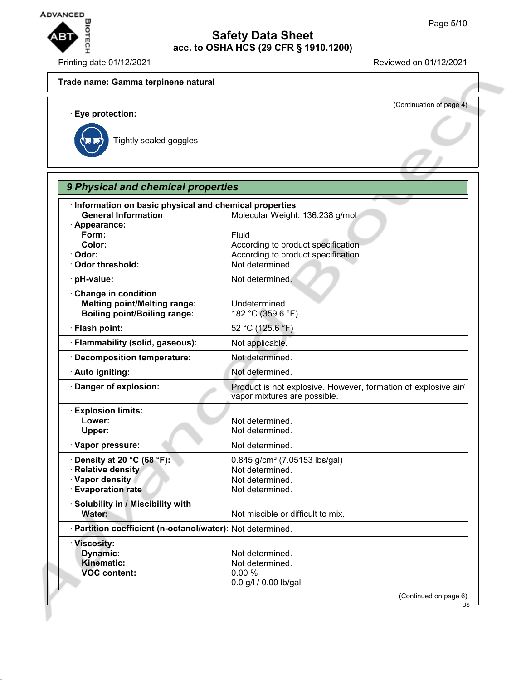

Printing date 01/12/2021 Reviewed on 01/12/2021

## **Trade name: Gamma terpinene natural**

(Continuation of page 4) · **Eye protection:** Tightly sealed goggles *9 Physical and chemical properties*

| · Appearance:<br>Form:<br>Fluid<br>Color:<br>According to product specification<br>Odor:<br>According to product specification<br>Not determined.<br>Odor threshold:<br>· pH-value:<br>Not determined.<br>Change in condition<br><b>Melting point/Melting range:</b><br>Undetermined.<br><b>Boiling point/Boiling range:</b><br>182 °C (359.6 °F)<br>52 °C (125.6 °F)<br>· Flash point:<br>· Flammability (solid, gaseous):<br>Not applicable.<br>Decomposition temperature:<br>Not determined.<br>Not determined.<br>· Auto igniting:<br>Danger of explosion:<br>vapor mixtures are possible.<br>· Explosion limits:<br>Lower:<br>Not determined.<br>Not determined.<br>Upper:<br>· Vapor pressure:<br>Not determined.<br>$\cdot$ Density at 20 °C (68 °F):<br>$0.845$ g/cm <sup>3</sup> (7.05153 lbs/gal)<br>· Relative density<br>Not determined.<br>· Vapor density<br>Not determined.<br><b>Evaporation rate</b><br>Not determined.<br>· Solubility in / Miscibility with<br>Not miscible or difficult to mix.<br>Water:<br>· Partition coefficient (n-octanol/water): Not determined.<br>· Viscosity:<br>Dynamic:<br>Not determined.<br>Kinematic:<br>Not determined.<br><b>VOC content:</b><br>0.00%<br>0.0 g/l / 0.00 lb/gal | Information on basic physical and chemical properties |                                                                |  |  |
|--------------------------------------------------------------------------------------------------------------------------------------------------------------------------------------------------------------------------------------------------------------------------------------------------------------------------------------------------------------------------------------------------------------------------------------------------------------------------------------------------------------------------------------------------------------------------------------------------------------------------------------------------------------------------------------------------------------------------------------------------------------------------------------------------------------------------------------------------------------------------------------------------------------------------------------------------------------------------------------------------------------------------------------------------------------------------------------------------------------------------------------------------------------------------------------------------------------------------------------|-------------------------------------------------------|----------------------------------------------------------------|--|--|
|                                                                                                                                                                                                                                                                                                                                                                                                                                                                                                                                                                                                                                                                                                                                                                                                                                                                                                                                                                                                                                                                                                                                                                                                                                      | <b>General Information</b>                            | Molecular Weight: 136.238 g/mol                                |  |  |
|                                                                                                                                                                                                                                                                                                                                                                                                                                                                                                                                                                                                                                                                                                                                                                                                                                                                                                                                                                                                                                                                                                                                                                                                                                      |                                                       |                                                                |  |  |
|                                                                                                                                                                                                                                                                                                                                                                                                                                                                                                                                                                                                                                                                                                                                                                                                                                                                                                                                                                                                                                                                                                                                                                                                                                      |                                                       |                                                                |  |  |
|                                                                                                                                                                                                                                                                                                                                                                                                                                                                                                                                                                                                                                                                                                                                                                                                                                                                                                                                                                                                                                                                                                                                                                                                                                      |                                                       |                                                                |  |  |
|                                                                                                                                                                                                                                                                                                                                                                                                                                                                                                                                                                                                                                                                                                                                                                                                                                                                                                                                                                                                                                                                                                                                                                                                                                      |                                                       |                                                                |  |  |
|                                                                                                                                                                                                                                                                                                                                                                                                                                                                                                                                                                                                                                                                                                                                                                                                                                                                                                                                                                                                                                                                                                                                                                                                                                      |                                                       |                                                                |  |  |
|                                                                                                                                                                                                                                                                                                                                                                                                                                                                                                                                                                                                                                                                                                                                                                                                                                                                                                                                                                                                                                                                                                                                                                                                                                      |                                                       |                                                                |  |  |
|                                                                                                                                                                                                                                                                                                                                                                                                                                                                                                                                                                                                                                                                                                                                                                                                                                                                                                                                                                                                                                                                                                                                                                                                                                      |                                                       |                                                                |  |  |
|                                                                                                                                                                                                                                                                                                                                                                                                                                                                                                                                                                                                                                                                                                                                                                                                                                                                                                                                                                                                                                                                                                                                                                                                                                      |                                                       |                                                                |  |  |
|                                                                                                                                                                                                                                                                                                                                                                                                                                                                                                                                                                                                                                                                                                                                                                                                                                                                                                                                                                                                                                                                                                                                                                                                                                      |                                                       |                                                                |  |  |
|                                                                                                                                                                                                                                                                                                                                                                                                                                                                                                                                                                                                                                                                                                                                                                                                                                                                                                                                                                                                                                                                                                                                                                                                                                      |                                                       |                                                                |  |  |
|                                                                                                                                                                                                                                                                                                                                                                                                                                                                                                                                                                                                                                                                                                                                                                                                                                                                                                                                                                                                                                                                                                                                                                                                                                      |                                                       |                                                                |  |  |
|                                                                                                                                                                                                                                                                                                                                                                                                                                                                                                                                                                                                                                                                                                                                                                                                                                                                                                                                                                                                                                                                                                                                                                                                                                      |                                                       |                                                                |  |  |
|                                                                                                                                                                                                                                                                                                                                                                                                                                                                                                                                                                                                                                                                                                                                                                                                                                                                                                                                                                                                                                                                                                                                                                                                                                      |                                                       | Product is not explosive. However, formation of explosive air/ |  |  |
|                                                                                                                                                                                                                                                                                                                                                                                                                                                                                                                                                                                                                                                                                                                                                                                                                                                                                                                                                                                                                                                                                                                                                                                                                                      |                                                       |                                                                |  |  |
|                                                                                                                                                                                                                                                                                                                                                                                                                                                                                                                                                                                                                                                                                                                                                                                                                                                                                                                                                                                                                                                                                                                                                                                                                                      |                                                       |                                                                |  |  |
|                                                                                                                                                                                                                                                                                                                                                                                                                                                                                                                                                                                                                                                                                                                                                                                                                                                                                                                                                                                                                                                                                                                                                                                                                                      |                                                       |                                                                |  |  |
|                                                                                                                                                                                                                                                                                                                                                                                                                                                                                                                                                                                                                                                                                                                                                                                                                                                                                                                                                                                                                                                                                                                                                                                                                                      |                                                       |                                                                |  |  |
|                                                                                                                                                                                                                                                                                                                                                                                                                                                                                                                                                                                                                                                                                                                                                                                                                                                                                                                                                                                                                                                                                                                                                                                                                                      |                                                       |                                                                |  |  |
|                                                                                                                                                                                                                                                                                                                                                                                                                                                                                                                                                                                                                                                                                                                                                                                                                                                                                                                                                                                                                                                                                                                                                                                                                                      |                                                       |                                                                |  |  |
|                                                                                                                                                                                                                                                                                                                                                                                                                                                                                                                                                                                                                                                                                                                                                                                                                                                                                                                                                                                                                                                                                                                                                                                                                                      |                                                       |                                                                |  |  |
|                                                                                                                                                                                                                                                                                                                                                                                                                                                                                                                                                                                                                                                                                                                                                                                                                                                                                                                                                                                                                                                                                                                                                                                                                                      |                                                       |                                                                |  |  |
|                                                                                                                                                                                                                                                                                                                                                                                                                                                                                                                                                                                                                                                                                                                                                                                                                                                                                                                                                                                                                                                                                                                                                                                                                                      |                                                       |                                                                |  |  |
|                                                                                                                                                                                                                                                                                                                                                                                                                                                                                                                                                                                                                                                                                                                                                                                                                                                                                                                                                                                                                                                                                                                                                                                                                                      |                                                       |                                                                |  |  |
|                                                                                                                                                                                                                                                                                                                                                                                                                                                                                                                                                                                                                                                                                                                                                                                                                                                                                                                                                                                                                                                                                                                                                                                                                                      |                                                       |                                                                |  |  |
|                                                                                                                                                                                                                                                                                                                                                                                                                                                                                                                                                                                                                                                                                                                                                                                                                                                                                                                                                                                                                                                                                                                                                                                                                                      |                                                       |                                                                |  |  |
|                                                                                                                                                                                                                                                                                                                                                                                                                                                                                                                                                                                                                                                                                                                                                                                                                                                                                                                                                                                                                                                                                                                                                                                                                                      |                                                       |                                                                |  |  |
|                                                                                                                                                                                                                                                                                                                                                                                                                                                                                                                                                                                                                                                                                                                                                                                                                                                                                                                                                                                                                                                                                                                                                                                                                                      |                                                       |                                                                |  |  |
|                                                                                                                                                                                                                                                                                                                                                                                                                                                                                                                                                                                                                                                                                                                                                                                                                                                                                                                                                                                                                                                                                                                                                                                                                                      |                                                       |                                                                |  |  |
|                                                                                                                                                                                                                                                                                                                                                                                                                                                                                                                                                                                                                                                                                                                                                                                                                                                                                                                                                                                                                                                                                                                                                                                                                                      |                                                       |                                                                |  |  |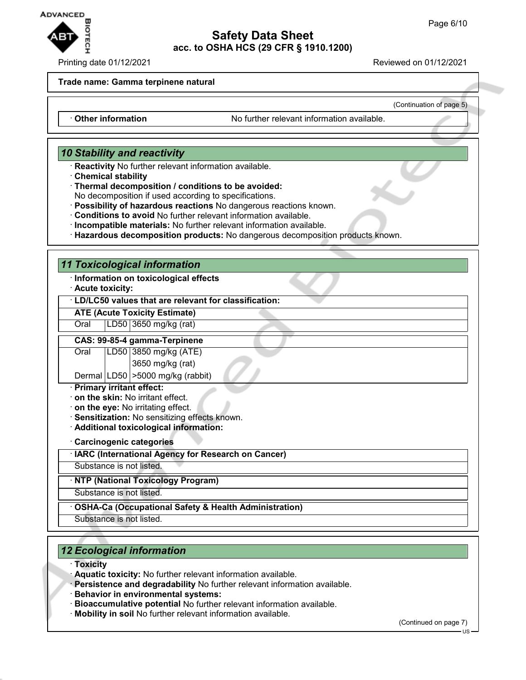

#### Printing date 01/12/2021 **Reviewed on 01/12/2021**

(Continuation of page 5)

#### **Trade name: Gamma terpinene natural**

· **Other information** No further relevant information available.

## *10 Stability and reactivity*

- · **Reactivity** No further relevant information available.
- · **Chemical stability**
- · **Thermal decomposition / conditions to be avoided:**

No decomposition if used according to specifications.

- · **Possibility of hazardous reactions** No dangerous reactions known.
- · **Conditions to avoid** No further relevant information available.
- · **Incompatible materials:** No further relevant information available.
- · **Hazardous decomposition products:** No dangerous decomposition products known.

## *11 Toxicological information*

- · **Information on toxicological effects**
- · **Acute toxicity:**

#### · **LD/LC50 values that are relevant for classification:**

**ATE (Acute Toxicity Estimate)**

## Oral LD50 3650 mg/kg (rat)

#### **CAS: 99-85-4 gamma-Terpinene**

Oral LD50 3850 mg/kg (ATE) 3650 mg/kg (rat)

Dermal LD50 >5000 mg/kg (rabbit)

- · **Primary irritant effect:**
- · **on the skin:** No irritant effect.
- · **on the eye:** No irritating effect.
- · **Sensitization:** No sensitizing effects known.
- · **Additional toxicological information:**
- · **Carcinogenic categories**
- · **IARC (International Agency for Research on Cancer)**

Substance is not listed.

· **NTP (National Toxicology Program)**

Substance is not listed.

- · **OSHA-Ca (Occupational Safety & Health Administration)**
- Substance is not listed.

## *12 Ecological information*

- · **Toxicity**
- · **Aquatic toxicity:** No further relevant information available.
- · **Persistence and degradability** No further relevant information available.
- · **Behavior in environmental systems:**
- · **Bioaccumulative potential** No further relevant information available.
- · **Mobility in soil** No further relevant information available.

(Continued on page 7)

US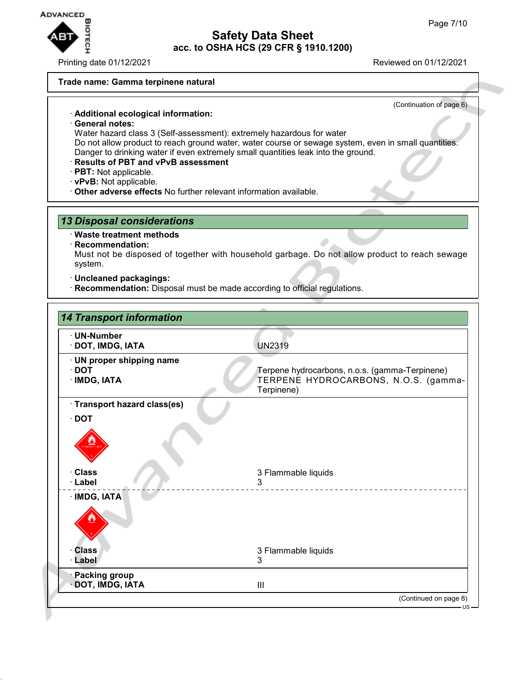

Printing date 01/12/2021 Reviewed on 01/12/2021

#### **Trade name: Gamma terpinene natural**

(Continuation of page 6)

## · **Additional ecological information:**

- · **General notes:** Water hazard class 3 (Self-assessment): extremely hazardous for water Do not allow product to reach ground water, water course or sewage system, even in small quantities. Danger to drinking water if even extremely small quantities leak into the ground.
- · **Results of PBT and vPvB assessment**
- · **PBT:** Not applicable.
- · **vPvB:** Not applicable.
- · **Other adverse effects** No further relevant information available.

## *13 Disposal considerations*

#### · **Waste treatment methods**

#### · **Recommendation:**

Must not be disposed of together with household garbage. Do not allow product to reach sewage system.

- · **Uncleaned packagings:**
- · **Recommendation:** Disposal must be made according to official regulations.

| <b>14 Transport information</b>                          |                                                                                                      |
|----------------------------------------------------------|------------------------------------------------------------------------------------------------------|
| · UN-Number<br>· DOT, IMDG, IATA                         | <b>UN2319</b>                                                                                        |
| · UN proper shipping name<br>$\cdot$ DOT<br>· IMDG, IATA | Terpene hydrocarbons, n.o.s. (gamma-Terpinene)<br>TERPENE HYDROCARBONS, N.O.S. (gamma-<br>Terpinene) |
| · Transport hazard class(es)                             |                                                                                                      |
| $\cdot$ DOT                                              |                                                                                                      |
| · Class<br>· Label                                       | 3 Flammable liquids<br>3                                                                             |
| · IMDG, IATA                                             |                                                                                                      |
| <b>Class</b>                                             | 3 Flammable liquids                                                                                  |
| · Label                                                  | 3                                                                                                    |
| <b>Packing group</b><br>DOT, IMDG, IATA                  | III                                                                                                  |
|                                                          | (Continued on page 8)                                                                                |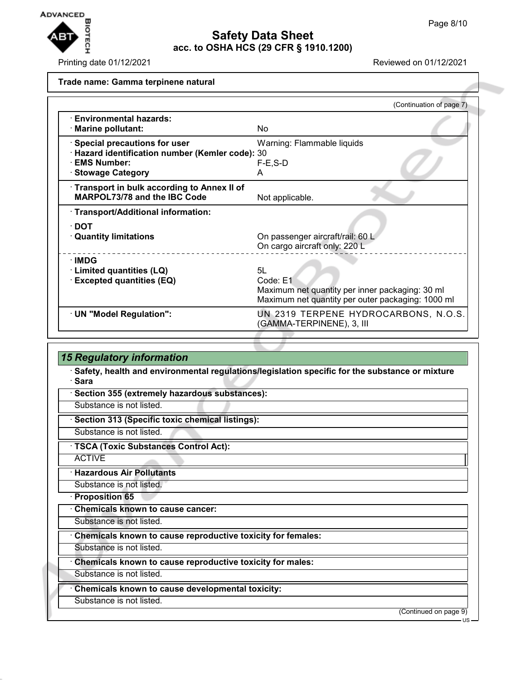

Printing date 01/12/2021 Reviewed on 01/12/2021

#### **Trade name: Gamma terpinene natural**

|                                                                                                                              | (Continuation of page 7)                                                                                               |
|------------------------------------------------------------------------------------------------------------------------------|------------------------------------------------------------------------------------------------------------------------|
| $\cdot$ Environmental hazards:<br>· Marine pollutant:                                                                        | No.                                                                                                                    |
| Special precautions for user<br>· Hazard identification number (Kemler code): 30<br>· EMS Number:<br><b>Stowage Category</b> | Warning: Flammable liquids<br>$F-E$ , S-D<br>А                                                                         |
| Transport in bulk according to Annex II of<br>MARPOL73/78 and the IBC Code                                                   | Not applicable.                                                                                                        |
| · Transport/Additional information:                                                                                          |                                                                                                                        |
| $\cdot$ DOT<br><b>Quantity limitations</b>                                                                                   | On passenger aircraft/rail: 60 L<br>On cargo aircraft only: 220 L                                                      |
| ∴IMDG<br>· Limited quantities (LQ)<br><b>Excepted quantities (EQ)</b>                                                        | 5L<br>Code: E1<br>Maximum net quantity per inner packaging: 30 ml<br>Maximum net quantity per outer packaging: 1000 ml |
| · UN "Model Regulation":                                                                                                     | UN 2319 TERPENE HYDROCARBONS, N.O.S.<br>(GAMMA-TERPINENE), 3, III                                                      |

# *15 Regulatory information*

· **Safety, health and environmental regulations/legislation specific for the substance or mixture** · **Sara**

- · **Section 355 (extremely hazardous substances):**
- Substance is not listed.
- · **Section 313 (Specific toxic chemical listings):**
- Substance is not listed.
- · **TSCA (Toxic Substances Control Act):**
- ACTIVE

## · **Hazardous Air Pollutants**

Substance is not listed.

- · **Proposition 65**
- · **Chemicals known to cause cancer:**
- Substance is not listed.
- · **Chemicals known to cause reproductive toxicity for females:**
- Substance is not listed.
- · **Chemicals known to cause reproductive toxicity for males:**
- Substance is not listed.
- · **Chemicals known to cause developmental toxicity:**
- Substance is not listed.

(Continued on page 9)

US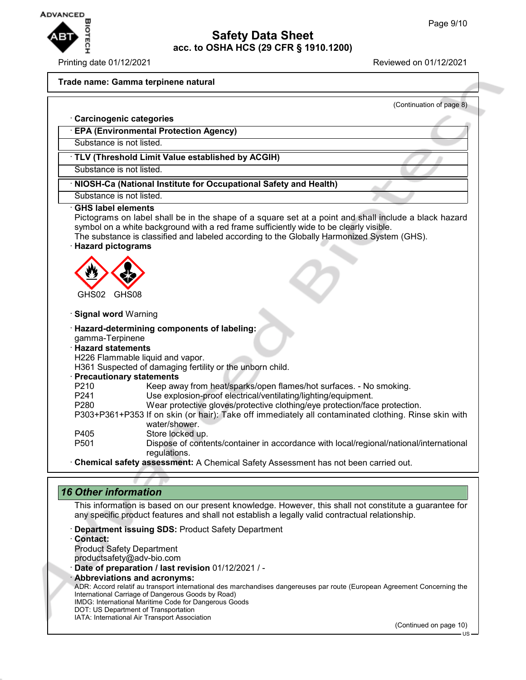

#### Printing date 01/12/2021 Reviewed on 01/12/2021

#### **Trade name: Gamma terpinene natural**

(Continuation of page 8)

#### · **Carcinogenic categories**

#### · **EPA (Environmental Protection Agency)**

Substance is not listed.

## · **TLV (Threshold Limit Value established by ACGIH)**

Substance is not listed.

## · **NIOSH-Ca (National Institute for Occupational Safety and Health)**

#### Substance is not listed. · **GHS label elements**

Pictograms on label shall be in the shape of a square set at a point and shall include a black hazard symbol on a white background with a red frame sufficiently wide to be clearly visible.

The substance is classified and labeled according to the Globally Harmonized System (GHS).

## · **Hazard pictograms**



#### · **Signal word** Warning

#### · **Hazard-determining components of labeling:** gamma-Terpinene

## · **Hazard statements**

H226 Flammable liquid and vapor.

H361 Suspected of damaging fertility or the unborn child.

#### · **Precautionary statements**

P210 Keep away from heat/sparks/open flames/hot surfaces. - No smoking.<br>P241 See explosion-proof electrical/ventilating/lighting/equipment.

- P241 Use explosion-proof electrical/ventilating/lighting/equipment.<br>P280 Wear protective gloves/protective clothing/eve protection/fac
- Wear protective gloves/protective clothing/eye protection/face protection.
- P303+P361+P353 If on skin (or hair): Take off immediately all contaminated clothing. Rinse skin with water/shower.
- P405 Store locked up.<br>P501 Dispose of conte

Dispose of contents/container in accordance with local/regional/national/international regulations.

· **Chemical safety assessment:** A Chemical Safety Assessment has not been carried out.

## *16 Other information*

This information is based on our present knowledge. However, this shall not constitute a guarantee for any specific product features and shall not establish a legally valid contractual relationship.

- · **Department issuing SDS:** Product Safety Department
- · **Contact:**

Product Safety Department

productsafety@adv-bio.com

· **Date of preparation / last revision** 01/12/2021 / -

· **Abbreviations and acronyms:**

ADR: Accord relatif au transport international des marchandises dangereuses par route (European Agreement Concerning the International Carriage of Dangerous Goods by Road)

IMDG: International Maritime Code for Dangerous Goods DOT: US Department of Transportation

IATA: International Air Transport Association

(Continued on page 10)

US